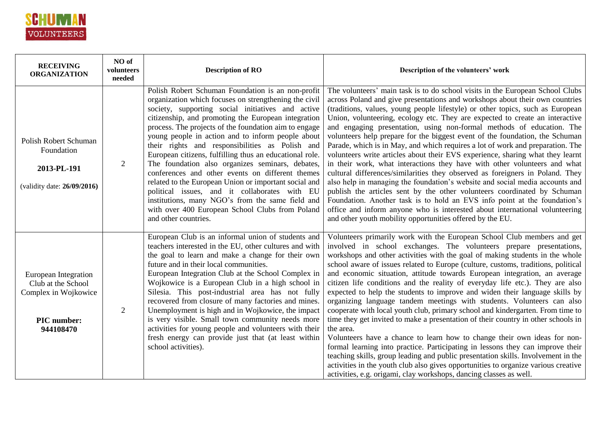

| <b>RECEIVING</b><br><b>ORGANIZATION</b>                                                               | NO of<br>volunteers<br>needed | <b>Description of RO</b>                                                                                                                                                                                                                                                                                                                                                                                                                                                                                                                                                                                                                                                                                                                                                                            | Description of the volunteers' work                                                                                                                                                                                                                                                                                                                                                                                                                                                                                                                                                                                                                                                                                                                                                                                                                                                                                                                                                                                                                                                                                                                                                                                                           |
|-------------------------------------------------------------------------------------------------------|-------------------------------|-----------------------------------------------------------------------------------------------------------------------------------------------------------------------------------------------------------------------------------------------------------------------------------------------------------------------------------------------------------------------------------------------------------------------------------------------------------------------------------------------------------------------------------------------------------------------------------------------------------------------------------------------------------------------------------------------------------------------------------------------------------------------------------------------------|-----------------------------------------------------------------------------------------------------------------------------------------------------------------------------------------------------------------------------------------------------------------------------------------------------------------------------------------------------------------------------------------------------------------------------------------------------------------------------------------------------------------------------------------------------------------------------------------------------------------------------------------------------------------------------------------------------------------------------------------------------------------------------------------------------------------------------------------------------------------------------------------------------------------------------------------------------------------------------------------------------------------------------------------------------------------------------------------------------------------------------------------------------------------------------------------------------------------------------------------------|
| Polish Robert Schuman<br>Foundation<br>2013-PL-191<br>(validity date: 26/09/2016)                     | $\overline{2}$                | Polish Robert Schuman Foundation is an non-profit<br>organization which focuses on strengthening the civil<br>society, supporting social initiatives and active<br>citizenship, and promoting the European integration<br>process. The projects of the foundation aim to engage<br>young people in action and to inform people about<br>their rights and responsibilities as Polish and<br>European citizens, fulfilling thus an educational role.<br>The foundation also organizes seminars, debates,<br>conferences and other events on different themes<br>related to the European Union or important social and<br>political issues, and it collaborates with EU<br>institutions, many NGO's from the same field and<br>with over 400 European School Clubs from Poland<br>and other countries. | The volunteers' main task is to do school visits in the European School Clubs<br>across Poland and give presentations and workshops about their own countries<br>(traditions, values, young people lifestyle) or other topics, such as European<br>Union, volunteering, ecology etc. They are expected to create an interactive<br>and engaging presentation, using non-formal methods of education. The<br>volunteers help prepare for the biggest event of the foundation, the Schuman<br>Parade, which is in May, and which requires a lot of work and preparation. The<br>volunteers write articles about their EVS experience, sharing what they learnt<br>in their work, what interactions they have with other volunteers and what<br>cultural differences/similarities they observed as foreigners in Poland. They<br>also help in managing the foundation's website and social media accounts and<br>publish the articles sent by the other volunteers coordinated by Schuman<br>Foundation. Another task is to hold an EVS info point at the foundation's<br>office and inform anyone who is interested about international volunteering<br>and other youth mobility opportunities offered by the EU.                               |
| <b>European Integration</b><br>Club at the School<br>Complex in Wojkowice<br>PIC number:<br>944108470 | $\overline{2}$                | European Club is an informal union of students and<br>teachers interested in the EU, other cultures and with<br>the goal to learn and make a change for their own<br>future and in their local communities.<br>European Integration Club at the School Complex in<br>Wojkowice is a European Club in a high school in<br>Silesia. This post-industrial area has not fully<br>recovered from closure of many factories and mines.<br>Unemployment is high and in Wojkowice, the impact<br>is very visible. Small town community needs more<br>activities for young people and volunteers with their<br>fresh energy can provide just that (at least within<br>school activities).                                                                                                                    | Volunteers primarily work with the European School Club members and get<br>involved in school exchanges. The volunteers prepare presentations,<br>workshops and other activities with the goal of making students in the whole<br>school aware of issues related to Europe (culture, customs, traditions, political<br>and economic situation, attitude towards European integration, an average<br>citizen life conditions and the reality of everyday life etc.). They are also<br>expected to help the students to improve and widen their language skills by<br>organizing language tandem meetings with students. Volunteers can also<br>cooperate with local youth club, primary school and kindergarten. From time to<br>time they get invited to make a presentation of their country in other schools in<br>the area.<br>Volunteers have a chance to learn how to change their own ideas for non-<br>formal learning into practice. Participating in lessons they can improve their<br>teaching skills, group leading and public presentation skills. Involvement in the<br>activities in the youth club also gives opportunities to organize various creative<br>activities, e.g. origami, clay workshops, dancing classes as well. |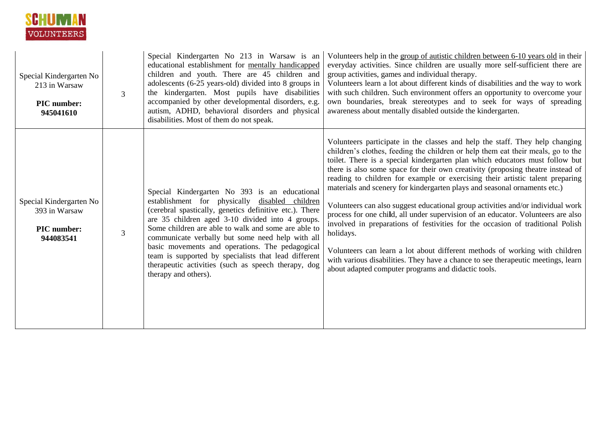

| Special Kindergarten No<br>213 in Warsaw<br>PIC number:<br>945041610 | $\overline{3}$ | Special Kindergarten No 213 in Warsaw is an<br>educational establishment for mentally handicapped<br>children and youth. There are 45 children and<br>adolescents (6-25 years-old) divided into 8 groups in<br>the kindergarten. Most pupils have disabilities<br>accompanied by other developmental disorders, e.g.<br>autism, ADHD, behavioral disorders and physical<br>disabilities. Most of them do not speak.                                                                                                 | Volunteers help in the group of autistic children between 6-10 years old in their<br>everyday activities. Since children are usually more self-sufficient there are<br>group activities, games and individual therapy.<br>Volunteers learn a lot about different kinds of disabilities and the way to work<br>with such children. Such environment offers an opportunity to overcome your<br>own boundaries, break stereotypes and to seek for ways of spreading<br>awareness about mentally disabled outside the kindergarten.                                                                                                                                                                                                                                                                                                                                                                                                                                                                   |
|----------------------------------------------------------------------|----------------|---------------------------------------------------------------------------------------------------------------------------------------------------------------------------------------------------------------------------------------------------------------------------------------------------------------------------------------------------------------------------------------------------------------------------------------------------------------------------------------------------------------------|---------------------------------------------------------------------------------------------------------------------------------------------------------------------------------------------------------------------------------------------------------------------------------------------------------------------------------------------------------------------------------------------------------------------------------------------------------------------------------------------------------------------------------------------------------------------------------------------------------------------------------------------------------------------------------------------------------------------------------------------------------------------------------------------------------------------------------------------------------------------------------------------------------------------------------------------------------------------------------------------------|
| Special Kindergarten No<br>393 in Warsaw<br>PIC number:<br>944083541 | $\overline{3}$ | Special Kindergarten No 393 is an educational<br>establishment for physically disabled children<br>(cerebral spastically, genetics definitive etc.). There<br>are 35 children aged 3-10 divided into 4 groups.<br>Some children are able to walk and some are able to<br>communicate verbally but some need help with all<br>basic movements and operations. The pedagogical<br>team is supported by specialists that lead different<br>therapeutic activities (such as speech therapy, dog<br>therapy and others). | Volunteers participate in the classes and help the staff. They help changing<br>children's clothes, feeding the children or help them eat their meals, go to the<br>toilet. There is a special kindergarten plan which educators must follow but<br>there is also some space for their own creativity (proposing theatre instead of<br>reading to children for example or exercising their artistic talent preparing<br>materials and scenery for kindergarten plays and seasonal ornaments etc.)<br>Volunteers can also suggest educational group activities and/or individual work<br>process for one child, all under supervision of an educator. Volunteers are also<br>involved in preparations of festivities for the occasion of traditional Polish<br>holidays.<br>Volunteers can learn a lot about different methods of working with children<br>with various disabilities. They have a chance to see therapeutic meetings, learn<br>about adapted computer programs and didactic tools. |